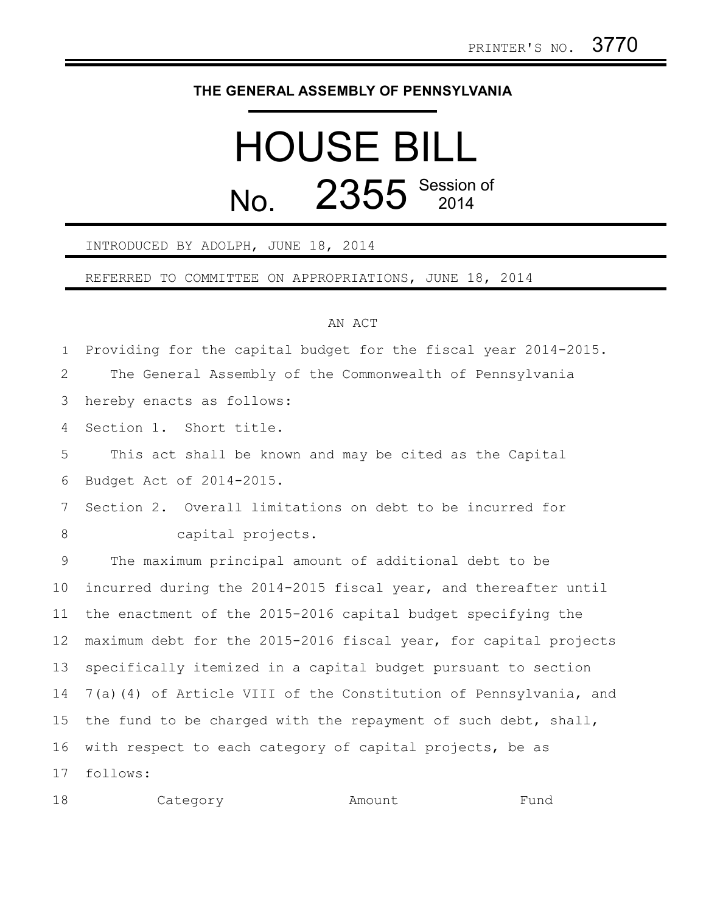## **THE GENERAL ASSEMBLY OF PENNSYLVANIA**

## HOUSE BILL No. 2355 Session of

## INTRODUCED BY ADOLPH, JUNE 18, 2014

REFERRED TO COMMITTEE ON APPROPRIATIONS, JUNE 18, 2014

## AN ACT

Providing for the capital budget for the fiscal year 2014-2015. 1

The General Assembly of the Commonwealth of Pennsylvania 2

hereby enacts as follows: 3

Section 1. Short title. 4

This act shall be known and may be cited as the Capital Budget Act of 2014-2015. 5 6

Section 2. Overall limitations on debt to be incurred for capital projects. 7 8

The maximum principal amount of additional debt to be incurred during the 2014-2015 fiscal year, and thereafter until the enactment of the 2015-2016 capital budget specifying the maximum debt for the 2015-2016 fiscal year, for capital projects specifically itemized in a capital budget pursuant to section 7(a)(4) of Article VIII of the Constitution of Pennsylvania, and the fund to be charged with the repayment of such debt, shall, with respect to each category of capital projects, be as follows: 9 10 11 12 13 14 15 16 17

| 18<br>Category | Amount | Fund |
|----------------|--------|------|
|----------------|--------|------|